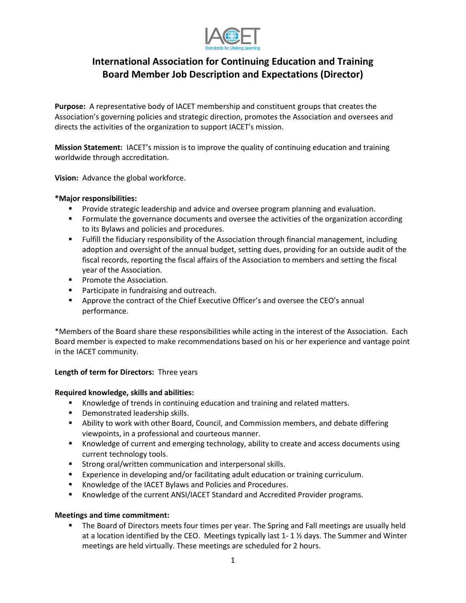

# **International Association for Continuing Education and Training Board Member Job Description and Expectations (Director)**

**Purpose:** A representative body of IACET membership and constituent groups that creates the Association's governing policies and strategic direction, promotes the Association and oversees and directs the activities of the organization to support IACET's mission.

**Mission Statement:** IACET's mission is to improve the quality of continuing education and training worldwide through accreditation.

**Vision:** Advance the global workforce.

#### **\*Major responsibilities:**

- **Provide strategic leadership and advice and oversee program planning and evaluation.**
- **FIC 1** Formulate the governance documents and oversee the activities of the organization according to its Bylaws and policies and procedures.
- Fulfill the fiduciary responsibility of the Association through financial management, including adoption and oversight of the annual budget, setting dues, providing for an outside audit of the fiscal records, reporting the fiscal affairs of the Association to members and setting the fiscal year of the Association.
- **Promote the Association.**
- **Participate in fundraising and outreach.**
- **Approve the contract of the Chief Executive Officer's and oversee the CEO's annual** performance.

\*Members of the Board share these responsibilities while acting in the interest of the Association. Each Board member is expected to make recommendations based on his or her experience and vantage point in the IACET community.

### **Length of term for Directors:** Three years

#### **Required knowledge, skills and abilities:**

- **Knowledge of trends in continuing education and training and related matters.**
- **•** Demonstrated leadership skills.
- Ability to work with other Board, Council, and Commission members, and debate differing viewpoints, in a professional and courteous manner.
- **K**nowledge of current and emerging technology, ability to create and access documents using current technology tools.
- **Strong oral/written communication and interpersonal skills.**
- Experience in developing and/or facilitating adult education or training curriculum.
- **K**nowledge of the IACET Bylaws and Policies and Procedures.
- Knowledge of the current ANSI/IACET Standard and Accredited Provider programs.

#### **Meetings and time commitment:**

 The Board of Directors meets four times per year. The Spring and Fall meetings are usually held at a location identified by the CEO. Meetings typically last 1- 1 ½ days. The Summer and Winter meetings are held virtually. These meetings are scheduled for 2 hours.